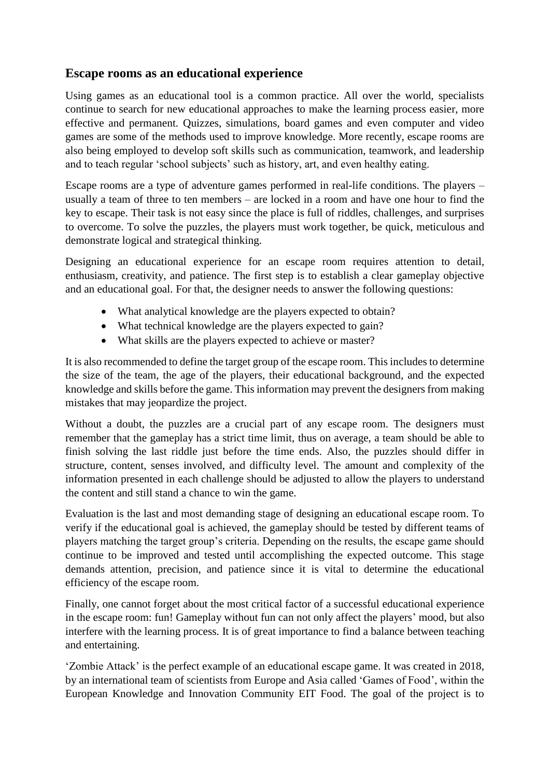## **Escape rooms as an educational experience**

Using games as an educational tool is a common practice. All over the world, specialists continue to search for new educational approaches to make the learning process easier, more effective and permanent. Quizzes, simulations, board games and even computer and video games are some of the methods used to improve knowledge. More recently, escape rooms are also being employed to develop soft skills such as communication, teamwork, and leadership and to teach regular 'school subjects' such as history, art, and even healthy eating.

Escape rooms are a type of adventure games performed in real-life conditions. The players – usually a team of three to ten members – are locked in a room and have one hour to find the key to escape. Their task is not easy since the place is full of riddles, challenges, and surprises to overcome. To solve the puzzles, the players must work together, be quick, meticulous and demonstrate logical and strategical thinking.

Designing an educational experience for an escape room requires attention to detail, enthusiasm, creativity, and patience. The first step is to establish a clear gameplay objective and an educational goal. For that, the designer needs to answer the following questions:

- What analytical knowledge are the players expected to obtain?
- What technical knowledge are the players expected to gain?
- What skills are the players expected to achieve or master?

It is also recommended to define the target group of the escape room. This includes to determine the size of the team, the age of the players, their educational background, and the expected knowledge and skills before the game. This information may prevent the designers from making mistakes that may jeopardize the project.

Without a doubt, the puzzles are a crucial part of any escape room. The designers must remember that the gameplay has a strict time limit, thus on average, a team should be able to finish solving the last riddle just before the time ends. Also, the puzzles should differ in structure, content, senses involved, and difficulty level. The amount and complexity of the information presented in each challenge should be adjusted to allow the players to understand the content and still stand a chance to win the game.

Evaluation is the last and most demanding stage of designing an educational escape room. To verify if the educational goal is achieved, the gameplay should be tested by different teams of players matching the target group's criteria. Depending on the results, the escape game should continue to be improved and tested until accomplishing the expected outcome. This stage demands attention, precision, and patience since it is vital to determine the educational efficiency of the escape room.

Finally, one cannot forget about the most critical factor of a successful educational experience in the escape room: fun! Gameplay without fun can not only affect the players' mood, but also interfere with the learning process. It is of great importance to find a balance between teaching and entertaining.

'Zombie Attack' is the perfect example of an educational escape game. It was created in 2018, by an international team of scientists from Europe and Asia called 'Games of Food', within the European Knowledge and Innovation Community EIT Food. The goal of the project is to